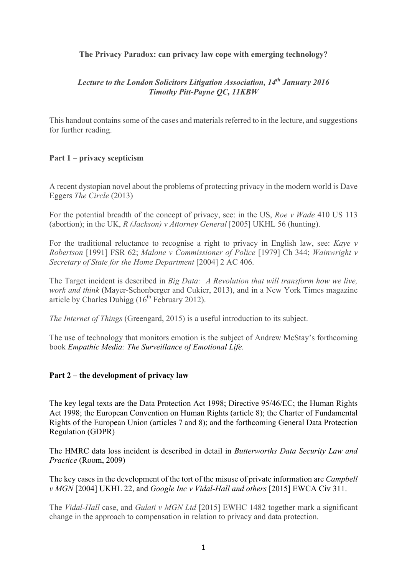## **The Privacy Paradox: can privacy law cope with emerging technology?**

# *Lecture to the London Solicitors Litigation Association, 14th January 2016 Timothy Pitt-Payne QC, 11KBW*

This handout contains some of the cases and materials referred to in the lecture, and suggestions for further reading.

## **Part 1 – privacy scepticism**

A recent dystopian novel about the problems of protecting privacy in the modern world is Dave Eggers *The Circle* (2013)

For the potential breadth of the concept of privacy, see: in the US, *Roe v Wade* 410 US 113 (abortion); in the UK, *R (Jackson) v Attorney General* [2005] UKHL 56 (hunting).

For the traditional reluctance to recognise a right to privacy in English law, see: *Kaye v Robertson* [1991] FSR 62; *Malone v Commissioner of Police* [1979] Ch 344; *Wainwright v Secretary of State for the Home Department* [2004] 2 AC 406.

The Target incident is described in *Big Data: A Revolution that will transform how we live, work and think* (Mayer-Schonberger and Cukier, 2013), and in a New York Times magazine article by Charles Duhigg  $(16<sup>th</sup>$  February 2012).

*The Internet of Things* (Greengard, 2015) is a useful introduction to its subject.

The use of technology that monitors emotion is the subject of Andrew McStay's forthcoming book *Empathic Media: The Surveillance of Emotional Life*.

## **Part 2 – the development of privacy law**

The key legal texts are the Data Protection Act 1998; Directive 95/46/EC; the Human Rights Act 1998; the European Convention on Human Rights (article 8); the Charter of Fundamental Rights of the European Union (articles 7 and 8); and the forthcoming General Data Protection Regulation (GDPR)

The HMRC data loss incident is described in detail in *Butterworths Data Security Law and Practice* (Room, 2009)

The key cases in the development of the tort of the misuse of private information are *Campbell v MGN* [2004] UKHL 22, and *Google Inc v Vidal-Hall and others* [2015] EWCA Civ 311.

The *Vidal-Hall* case, and *Gulati v MGN Ltd* [2015] EWHC 1482 together mark a significant change in the approach to compensation in relation to privacy and data protection.